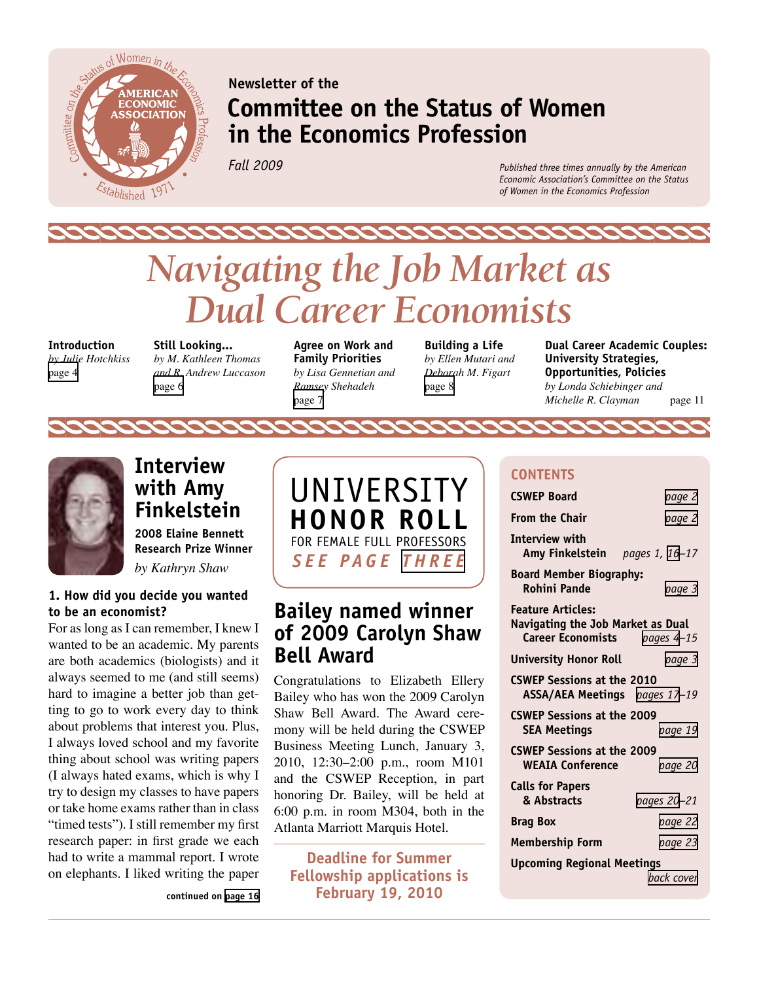<span id="page-0-0"></span>

**Newsletter of the**

# **Committee on the Status of Women in the Economics Profession**

*Fall 2009*

*Published three times annually by the American Economic Association's Committee on the Status of Women in the Economics Profession*

# *Navigating the Job Market as Dual Career Economists*

**Introduction**  *by Julie Hotchkiss*  [page 4](#page-2-0)

**Still Looking...**  *by M. Kathleen Thomas and R. Andrew Luccason* [page 6](#page-3-0)

**Agree on Work and Family Priorities**  *by Lisa Gennetian and Ramsey Shehadeh*  [page 7](#page-3-0)

**Building a Life**  *by Ellen Mutari and Deborah M. Figart*  [page 8](#page-4-0)

**Dual Career Academic Couples: University Strategies, Opportunities, Policies**  *by Londa Schiebinger and Michelle R. Clayman* page 11



**Interview with Amy Finkelstein 2008 Elaine Bennett Research Prize Winner**  *by Kathryn Shaw*

#### **1. How did you decide you wanted to be an economist?**

For as long as I can remember, I knew I wanted to be an academic. My parents are both academics (biologists) and it always seemed to me (and still seems) hard to imagine a better job than getting to go to work every day to think about problems that interest you. Plus, I always loved school and my favorite thing about school was writing papers (I always hated exams, which is why I try to design my classes to have papers or take home exams rather than in class "timed tests"). I still remember my first research paper: in first grade we each had to write a mammal report. I wrote on elephants. I liked writing the paper

**continued on [page 16](#page-8-0)**



# **Bailey named winner of 2009 Carolyn Shaw Bell Award**

Congratulations to Elizabeth Ellery Bailey who has won the 2009 Carolyn Shaw Bell Award. The Award ceremony will be held during the CSWEP Business Meeting Lunch, January 3, 2010, 12:30–2:00 p.m., room M101 and the CSWEP Reception, in part honoring Dr. Bailey, will be held at 6:00 p.m. in room M304, both in the Atlanta Marriott Marquis Hotel.

**Deadline for Summer Fellowship applications is February 19, 2010**

#### **CONTENTS**

| <b>CSWEP Board</b>                                                                            | page 2      |  |  |  |  |  |  |
|-----------------------------------------------------------------------------------------------|-------------|--|--|--|--|--|--|
| <b>From the Chair</b>                                                                         | page 2      |  |  |  |  |  |  |
| Interview with<br>Amy Finkelstein pages 1, 16-17                                              |             |  |  |  |  |  |  |
| <b>Board Member Biography:</b><br>Rohini Pande                                                | page 3      |  |  |  |  |  |  |
| <b>Feature Articles:</b><br>Navigating the Job Market as Dual<br>Career Economists pages 4-15 |             |  |  |  |  |  |  |
| University Honor Roll                                                                         | page 3      |  |  |  |  |  |  |
| <b>CSWEP Sessions at the 2010</b><br>ASSA/AEA Meetings pages 17-19                            |             |  |  |  |  |  |  |
| <b>CSWEP Sessions at the 2009</b><br><b>SEA Meetings</b>                                      | page 19     |  |  |  |  |  |  |
| <b>CSWEP Sessions at the 2009</b><br><b>WEAIA Conference</b>                                  | page 20     |  |  |  |  |  |  |
| <b>Calls for Papers</b><br>& Abstracts                                                        | pages 20-21 |  |  |  |  |  |  |
| Brag Box                                                                                      | page 22     |  |  |  |  |  |  |
| Membership Form                                                                               | page 23     |  |  |  |  |  |  |
| <b>Upcoming Regional Meetings</b>                                                             |             |  |  |  |  |  |  |
|                                                                                               | back cover  |  |  |  |  |  |  |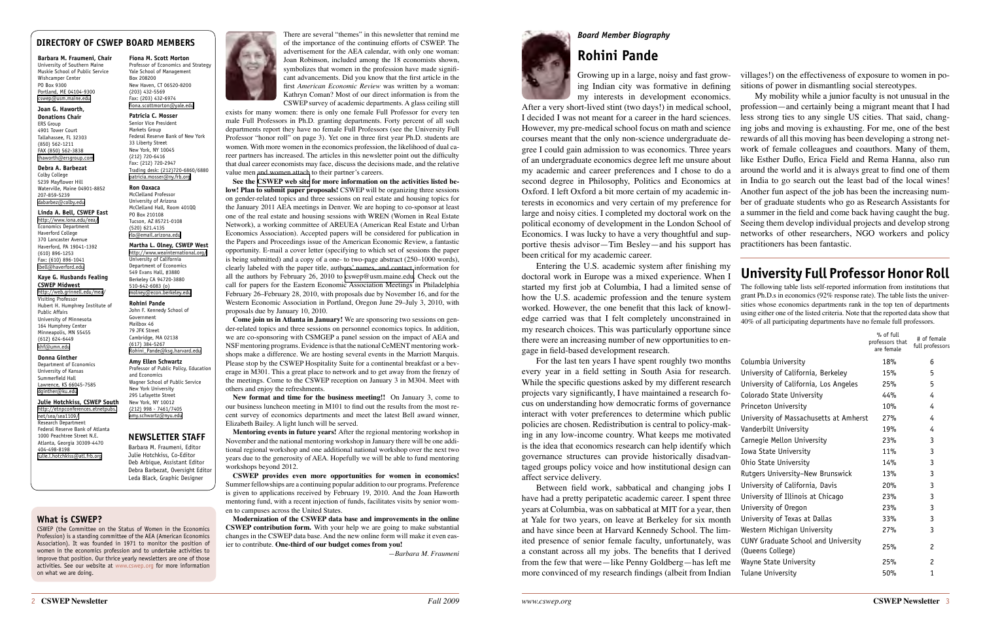There are several "themes" in this newsletter that remind me of the importance of the continuing efforts of CSWEP. The advertisement for the AEA calendar, with only one woman: Joan Robinson, included among the 18 economists shown, symbolizes that women in the profession have made significant advancements. Did you know that the first article in the first *American Economic Review* was written by a woman: Kathryn Coman? Most of our direct information is from the CSWEP survey of academic departments. A glass ceiling still

exists for many women: there is only one female Full Professor for every ten male Full Professors in Ph.D. granting departments. Forty percent of all such departments report they have no female Full Professors (see the University Full Professor "honor roll" on page 3). Yet one in three first year Ph.D. students are women. With more women in the economics profession, the likelihood of dual career partners has increased. The articles in this newsletter point out the difficulty that dual career economists may face, discuss the decisions made, and the relative value men and women attach to their partner's careers.

**See the [CSWEP web site](http://www.cswep.org) for more information on the activities listed below! Plan to submit paper proposals!** CSWEP will be organizing three sessions on gender-related topics and three sessions on real estate and housing topics for the January 2011 AEA meetings in Denver. We are hoping to co-sponsor at least one of the real estate and housing sessions with WREN (Women in Real Estate Network), a working committee of AREUEA (American Real Estate and Urban Economics Association). Accepted papers will be considered for publication in the Papers and Proceedings issue of the American Economic Review, a fantastic opportunity. E-mail a cover letter (specifying to which set of sessions the paper is being submitted) and a copy of a one- to two-page abstract (250–1000 words), clearly labeled with the paper title, authors' names, and contact information for all the authors by February 26, 2010 to [cswep@usm.maine.edu.](mailto:cswep@usm.maine.edu) Check out the call for papers for the Eastern Economic Association Meetings in Philadelphia February 26–February 28, 2010, with proposals due by November 16, and for the Western Economic Association in Portland, Oregon June 29–July 3, 2010, with proposals due by January 10, 2010.

**Come join us in Atlanta in January!** We are sponsoring two sessions on gender-related topics and three sessions on personnel economics topics. In addition, we are co-sponsoring with CSMGEP a panel session on the impact of AEA and NSF mentoring programs. Evidence is that the national CeMENT mentoring workshops make a difference. We are hosting several events in the Marriott Marquis. Please stop by the CSWEP Hospitality Suite for a continental breakfast or a beverage in M301. This a great place to network and to get away from the frenzy of the meetings. Come to the CSWEP reception on January 3 in M304. Meet with others and enjoy the refreshments.

**New format and time for the business meeting!!** On January 3, come to our business luncheon meeting in M101 to find out the results from the most recent survey of economics departments and meet the latest Bell award winner, Elizabeth Bailey. A light lunch will be served.

For the last ten years I have spent roughly two mont every year in a field setting in South Asia for research. While the specific questions asked by my different researed projects vary significantly, I have maintained a research fo cus on understanding how democratic forms of governance interact with voter preferences to determine which publ policies are chosen. Redistribution is central to policy-making in any low-income country. What keeps me motivated is the idea that economics research can help identify whi governance structures can provide historically disadva taged groups policy voice and how institutional design can affect service delivery.

Between field work, sabbatical and changing jobs have had a pretty peripatetic academic career. I spent thr years at Columbia, was on sabbatical at MIT for a year, then at Yale for two years, on leave at Berkeley for six mon and have since been at Harvard Kennedy School. The limited presence of senior female faculty, unfortunately, w a constant across all my jobs. The benefits that I derive from the few that were—like Penny Goldberg—has left  $r$ more convinced of my research findings (albeit from Indi

**Mentoring events in future years!** After the regional mentoring workshop in November and the national mentoring workshop in January there will be one additional regional workshop and one additional national workshop over the next two years due to the generosity of AEA. Hopefully we will be able to fund mentoring workshops beyond 2012.

**CSWEP provides even more opportunities for women in economics!**  Summer fellowships are a continuing popular addition to our programs. Preference is given to applications received by February 19, 2010. And the Joan Haworth mentoring fund, with a recent injection of funds, facilitates visits by senior women to campuses across the United States.

**Modernization of the CSWEP data base and improvements in the online CSWEP contribution form.** With your help we are going to make substantial changes in the CSWEP data base. And the new online form will make it even easier to contribute. **One-third of our budget comes from you!**

*—Barbara M. Fraumeni*



#### *Board Member Biography*

# **Rohini Pande**

Growing up in a large, noisy and fast growing Indian city was formative in defining

[http://etnpconferences.etnetpubs.](http://etnpconferences.etnetpubs.net/sea/sea1109/) [net/sea/sea1109/](http://etnpconferences.etnetpubs.net/sea/sea1109/) Research Department Federal Reserve Bank of Atlanta 1000 Peachtree Street N.E. Atlanta, Georgia 30309-4470 404-498-8198 [julie.l.hotchkiss@atl.frb.org](mailto:julie.l.hotchkiss@atl.frb.org)

Entering the U.S. academic system after finishing my doctoral work in Europe was a mixed experience. When I started my first job at Columbia, I had a limited sense of how the U.S. academic profession and the tenure system worked. However, the one benefit that this lack of knowledge carried was that I felt completely unconstrained in my research choices. This was particularly opportune since there were an increasing number of new opportunities to engage in field-based development research.

my interests in development economics. After a very short-lived stint (two days!) in medical school, I decided I was not meant for a career in the hard sciences. However, my pre-medical school focus on math and science courses meant that the only non-science undergraduate degree I could gain admission to was economics. Three years of an undergraduate economics degree left me unsure about my academic and career preferences and I chose to do a second degree in Philosophy, Politics and Economics at Oxford. I left Oxford a bit more certain of my academic interests in economics and very certain of my preference for large and noisy cities. I completed my doctoral work on the political economy of development in the London School of Economics. I was lucky to have a very thoughtful and supportive thesis advisor—Tim Besley—and his support has been critical for my academic career. My mobility while a junior faculty is not unusual in the profession—and certainly being a migrant meant that I had less strong ties to any single US cities. That said, changing jobs and moving is exhausting. For me, one of the best rewards of all this moving has been developing a strong network of female colleagues and coauthors. Many of them, like Esther Duflo, Erica Field and Rema Hanna, also run around the world and it is always great to find one of them in India to go search out the least bad of the local wines! Another fun aspect of the job has been the increasing number of graduate students who go as Research Assistants for a summer in the field and come back having caught the bug. Seeing them develop individual projects and develop strong networks of other researchers, NGO workers and policy practitioners has been fantastic.

villages!) on the effectiveness of exposure to women in positions of power in dismantling social stereotypes.

#### <span id="page-1-0"></span>**DIRECTORY OF CSWEP BOARD MEMBERS**

**Barbara M. Fraumeni, Chair** University of Southern Maine Muskie School of Public Service Wishcamper Center PO Box 9300 Portland, ME 04104-9300 [cswep@usm.maine.edu](mailto:cswep@usm.maine.edu)

#### **Joan G. Haworth,**

**Donations Chair ERS** Group 4901 Tower Court Tallahassee, FL 32303 (850) 562-1211 FAX (850) 562-3838 [jhaworth@ersgroup.com](mailto:jhaworth@ersgroup.com)

#### **Debra A. Barbezat**

Colby College 5239 Mayflower Hill Waterville, Maine 04901-8852 207-859-5239 [dabarbez@colby.edu](mailto:dabarbez@colby.edu)

#### **Linda A. Bell, CSWEP East**

<http://www.iona.edu/eea/> Economics Department Haverford College 370 Lancaster Avenue Haverford, PA 19041-1392 (610) 896-1253 Fax: (610) 896-1041 [lbell@haverford.edu](mailto:lbell@haverford.edu)

#### **Kaye G. Husbands Fealing CSWEP Midwest**

<http://web.grinnell.edu/mea/> Visiting Professor Hubert H. Humphrey Institute of Public Affairs University of Minnesota 164 Humphrey Center Minneapolis, MN 55455 (612) 624-6449 [khf@umn.edu](mailto:khf@umn.edu)

#### **Donna Ginther**

Department of Economics University of Kansas Summerfield Hall Lawrence, KS 66045-7585 [dginther@ku.edu](mailto:dginther@ku.edu)

#### **Julie Hotchkiss, CSWEP South**

#### **Fiona M. Scott Morton**

Professor of Economics and Strategy Yale School of Management Box 208200 New Haven, CT 06520-8200 (203) 432-5569 Fax: (203) 432-6974 [fiona.scottmorton@yale.edu](mailto:fiona.scottmorton@yale.edu)

#### **Patricia C. Mosser**  Senior Vice President Markets Group Federal Reserve Bank of New York

33 Liberty Street New York, NY 10045 (212) 720-6416 Fax: (212) 720-2947 Trading desk: (212)720-6860/6880 [patricia.mosser@ny.frb.org](mailto:patricia.mosser@ny.frb.org)

#### **Ron Oaxaca**

McClelland Professor University of Arizona McClelland Hall, Room 401QQ PO Box 210108 Tucson, AZ 85721-0108 (520) 621.4135 [rlo@email.arizona.edu](mailto:rlo@email.arizona.edu)

#### **Martha L. Olney, CSWEP West**

<http://www.weainternational.org/> University of California Department of Economics 549 Evans Hall, #3880 Berkeley CA 94720-3880 510-642-6083 (o) [molney@econ.berkeley.edu](mailto:molney@econ.berkeley.edu)

#### **Rohini Pande**

John F. Kennedy School of Government Mailbox 46 79 JFK Street Cambridge, MA 02138 (617) 384-5267 [Rohini\\_Pande@ksg.harvard.edu](mailto:Rohini_Pande@ksg.harvard.edu)

#### **Amy Ellen Schwartz**

Professor of Public Policy, Education and Economics Wagner School of Public Service New York University 295 Lafayette Street New York, NY 10012 (212) 998 - 7461/7405 [amy.schwartz@nyu.edu](mailto:amy.schwartz@nyu.edu)

#### **What is CSWEP?**

CSWEP (the Committee on the Status of Women in the Economics Profession) is a standing committee of the AEA (American Economics Association). It was founded in 1971 to monitor the position of women in the economics profession and to undertake activities to improve that position. Our thrice yearly newsletters are one of those activities. See our website at [www.cswep.org](http://www.cswep.org) for more information on what we are doing.



#### **NEWSLETTER STAFF**

Barbara M. Fraumeni, Editor Julie Hotchkiss, Co-Editor Deb Arbique, Assistant Editor Debra Barbezat, Oversight Editor Leda Black, Graphic Designer

# **University Full Professor Honor Roll**

The following table lists self-reported information from institutions that grant Ph.D.s in economics (92% response rate). The table lists the universities whose economics departments rank in the top ten of departments using either one of the listed criteria. Note that the reported data show that 40% of all participating departments have no female full professors.

| .cc<br>'n-     |                                                                | % of full<br>professors that<br>are female | # of female<br>full professors |
|----------------|----------------------------------------------------------------|--------------------------------------------|--------------------------------|
| hs             | Columbia University                                            | 18%                                        | 6                              |
| :h.            | University of California, Berkeley                             | 15%                                        | 5                              |
| ch             | University of California, Los Angeles                          | 25%                                        | 5                              |
| $\overline{0}$ | Colorado State University                                      | 44%                                        | 4                              |
| ce             | Princeton University                                           | 10%                                        | 4                              |
| lic            | University of Massachusetts at Amherst                         | 27%                                        | 4                              |
| ık-            | Vanderbilt University                                          | 19%                                        | 4                              |
| ed<br>ch       | Carnegie Mellon University                                     | 23%                                        | 3                              |
| ın-            | Iowa State University                                          | 11%                                        | 3                              |
| an             | Ohio State University                                          | 14%                                        | 3                              |
|                | Rutgers University-New Brunswick                               | 13%                                        | 3                              |
| sΙ             | University of California, Davis                                | 20%                                        | 3                              |
| ee             | University of Illinois at Chicago                              | 23%                                        | 3                              |
| en             | University of Oregon                                           | 23%                                        | 3                              |
| ıth            | University of Texas at Dallas                                  | 33%                                        | 3                              |
| m-             | Western Michigan University                                    | 27%                                        | 3                              |
| as<br>ed       | <b>CUNY Graduate School and University</b><br>(Queens College) | 25%                                        | $\overline{c}$                 |
| ne             | Wayne State University                                         | 25%                                        | $\overline{c}$                 |
| an             | Tulane University                                              | 50%                                        | $\mathbf{1}$                   |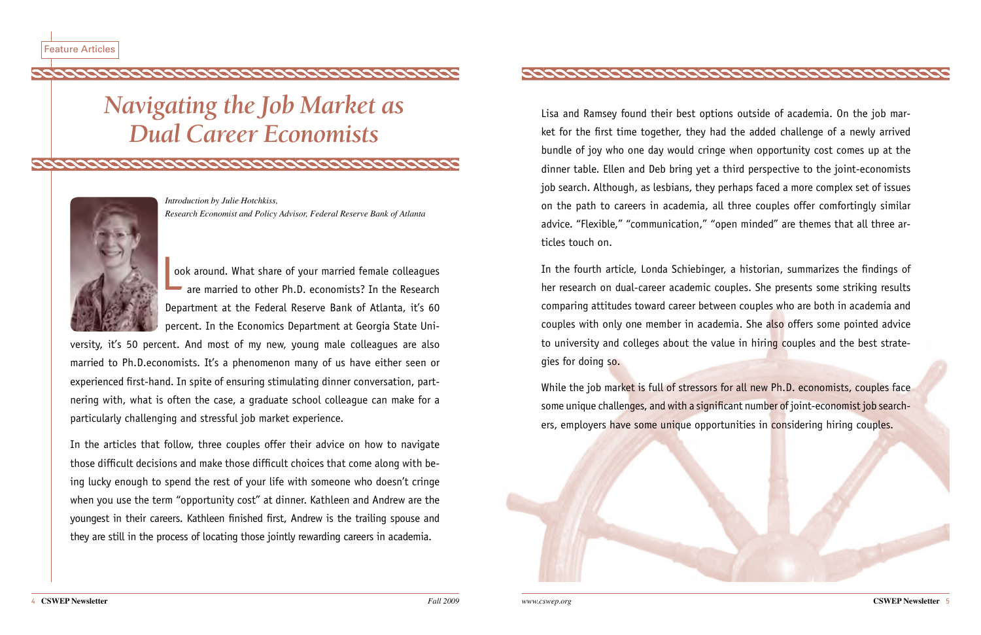# *Navigating the Job Market as Dual Career Economists*

condidada condida condida condida condida condida condida condida condida condida condida condida condida condi

<span id="page-2-0"></span>



ook around. What share of your married female colleagues are married to other Ph.D. economists? In the Research Department at the Federal Reserve Bank of Atlanta, it's 60 percent. In the Economics Department at Georgia State Uni-L<sub>oc</sub>

*Introduction by Julie Hotchkiss, Research Economist and Policy Advisor, Federal Reserve Bank of Atlanta*

versity, it's 50 percent. And most of my new, young male colleagues are also married to Ph.D.economists. It's a phenomenon many of us have either seen or experienced first-hand. In spite of ensuring stimulating dinner conversation, partnering with, what is often the case, a graduate school colleague can make for a particularly challenging and stressful job market experience.

In the articles that follow, three couples offer their advice on how to navigate those difficult decisions and make those difficult choices that come along with being lucky enough to spend the rest of your life with someone who doesn't cringe when you use the term "opportunity cost" at dinner. Kathleen and Andrew are the youngest in their careers. Kathleen finished first, Andrew is the trailing spouse and they are still in the process of locating those jointly rewarding careers in academia.



While the job market is full of stressors for all new Ph.D. economists, couples face some unique challenges, and with a significant number of joint-economist job searchers, employers have some unique opportunities in considering hiring couples.



Lisa and Ramsey found their best options outside of academia. On the job market for the first time together, they had the added challenge of a newly arrived bundle of joy who one day would cringe when opportunity cost comes up at the dinner table. Ellen and Deb bring yet a third perspective to the joint-economists job search. Although, as lesbians, they perhaps faced a more complex set of issues on the path to careers in academia, all three couples offer comfortingly similar advice. "Flexible," "communication," "open minded" are themes that all three articles touch on.

In the fourth article, Londa Schiebinger, a historian, summarizes the findings of her research on dual-career academic couples. She presents some striking results comparing attitudes toward career between couples who are both in academia and couples with only one member in academia. She also offers some pointed advice to university and colleges about the value in hiring couples and the best strategies for doing so.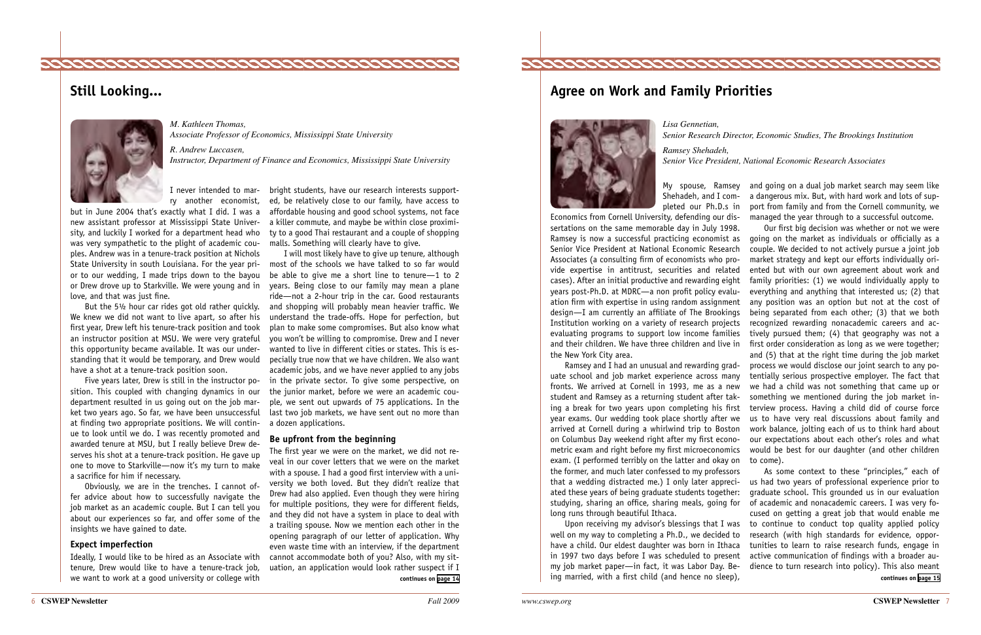

My spouse, Ramsey and going on a dual job market search may seem like Shehadeh, and I com- a dangerous mix. But, with hard work and lots of suppleted our Ph.D.s in port from family and from the Cornell community, we managed the year through to a successful outcome.

Our first big decision was whether or not we were Ramsey is now a successful practicing economist as going on the market as individuals or officially as a couple. We decided to not actively pursue a joint job market strategy and kept our efforts individually oriented but with our own agreement about work and cases). After an initial productive and rewarding eight family priorities: (1) we would individually apply to everything and anything that interested us; (2) that ation firm with expertise in using random assignment any position was an option but not at the cost of design—I am currently an affiliate of The Brookings being separated from each other; (3) that we both Institution working on a variety of research projects recognized rewarding nonacademic careers and acevaluating programs to support low income families tively pursued them; (4) that geography was not a and their children. We have three children and live in first order consideration as long as we were together;

and (5) that at the right time during the job market process we would disclose our joint search to any potentially serious prospective employer. The fact that we had a child was not something that came up or something we mentioned during the job market ining a break for two years upon completing his first terview process. Having a child did of course force year exams. Our wedding took place shortly after we aus to have very real discussions about family and arrived at Cornell during a whirlwind trip to Boston work balance, jolting each of us to think hard about our expectations about each other's roles and what metric exam and right before my first microeconomics would be best for our daughter (and other children

exam. (I performed terribly on the latter and okay on to come). Ramsey and I had an unusual and rewarding graduate school and job market experience across many fronts. We arrived at Cornell in 1993, me as a new student and Ramsey as a returning student after takon Columbus Day weekend right after my first econothe former, and much later confessed to my professors that a wedding distracted me.) I only later appreciated these years of being graduate students together: long runs through beautiful Ithaca.

Economics from Cornell University, defending our dissertations on the same memorable day in July 1998. Senior Vice President at National Economic Research Associates (a consulting firm of economists who provide expertise in antitrust, securities and related years post-Ph.D. at MDRC—a non profit policy evaluthe New York City area.

Upon receiving my advisor's blessings that I was my job market paper—in fact, it was Labor Day. Be-

**Agree on Work and Family Priorities**



*Lisa Gennetian,* 

*Senior Research Director, Economic Studies, The Brookings Institution Ramsey Shehadeh, Senior Vice President, National Economic Research Associates*

bright students, have our research interests supported, be relatively close to our family, have access to affordable housing and good school systems, not face a killer commute, and maybe be within close proximity to a good Thai restaurant and a couple of shopping malls. Something will clearly have to give.

> As some context to these "principles," each of us had two years of professional experience prior to graduate school. This grounded us in our evaluation studying, sharing an office, sharing meals, going for of academic and nonacademic careers. I was very focused on getting a great job that would enable me to continue to conduct top quality applied policy well on my way to completing a Ph.D., we decided to research (with high standards for evidence, opporhave a child. Our eldest daughter was born in Ithaca tunities to learn to raise research funds, engage in in 1997 two days before I was scheduled to present active communication of findings with a broader audience to turn research into policy). This also meant ing married, with a first child (and hence no sleep), **continues on [page 14](#page-7-0) continues on [page 15](#page-7-0)**

I will most likely have to give up tenure, although most of the schools we have talked to so far would be able to give me a short line to tenure—1 to 2 years. Being close to our family may mean a plane ride—not a 2-hour trip in the car. Good restaurants and shopping will probably mean heavier traffic. We understand the trade-offs. Hope for perfection, but plan to make some compromises. But also know what you won't be willing to compromise. Drew and I never wanted to live in different cities or states. This is especially true now that we have children. We also want academic jobs, and we have never applied to any jobs in the private sector. To give some perspective, on the junior market, before we were an academic couple, we sent out upwards of 75 applications. In the last two job markets, we have sent out no more than a dozen applications.

#### **Be upfront from the beginning**

The first year we were on the market, we did not reveal in our cover letters that we were on the market with a spouse. I had a good first interview with a university we both loved. But they didn't realize that Drew had also applied. Even though they were hiring for multiple positions, they were for different fields, and they did not have a system in place to deal with a trailing spouse. Now we mention each other in the opening paragraph of our letter of application. Why even waste time with an interview, if the department cannot accommodate both of you? Also, with my situation, an application would look rather suspect if I

I never intended to marry another economist,

but in June 2004 that's exactly what I did. I was a new assistant professor at Mississippi State University, and luckily I worked for a department head who was very sympathetic to the plight of academic couples. Andrew was in a tenure-track position at Nichols State University in south Louisiana. For the year prior to our wedding, I made trips down to the bayou or Drew drove up to Starkville. We were young and in love, and that was just fine.

But the 5½ hour car rides got old rather quickly. We knew we did not want to live apart, so after his first year, Drew left his tenure-track position and took an instructor position at MSU. We were very grateful this opportunity became available. It was our understanding that it would be temporary, and Drew would have a shot at a tenure-track position soon.

Five years later, Drew is still in the instructor position. This coupled with changing dynamics in our department resulted in us going out on the job market two years ago. So far, we have been unsuccessful at finding two appropriate positions. We will continue to look until we do. I was recently promoted and awarded tenure at MSU, but I really believe Drew deserves his shot at a tenure-track position. He gave up one to move to Starkville—now it's my turn to make a sacrifice for him if necessary.

Obviously, we are in the trenches. I cannot offer advice about how to successfully navigate the job market as an academic couple. But I can tell you about our experiences so far, and offer some of the insights we have gained to date.

#### **Expect imperfection**

Ideally, I would like to be hired as an Associate with tenure, Drew would like to have a tenure-track job, we want to work at a good university or college with

# **Still Looking...**



*M. Kathleen Thomas, Associate Professor of Economics, Mississippi State University*

<span id="page-3-0"></span>

*R. Andrew Luccasen, Instructor, Department of Finance and Economics, Mississippi State University*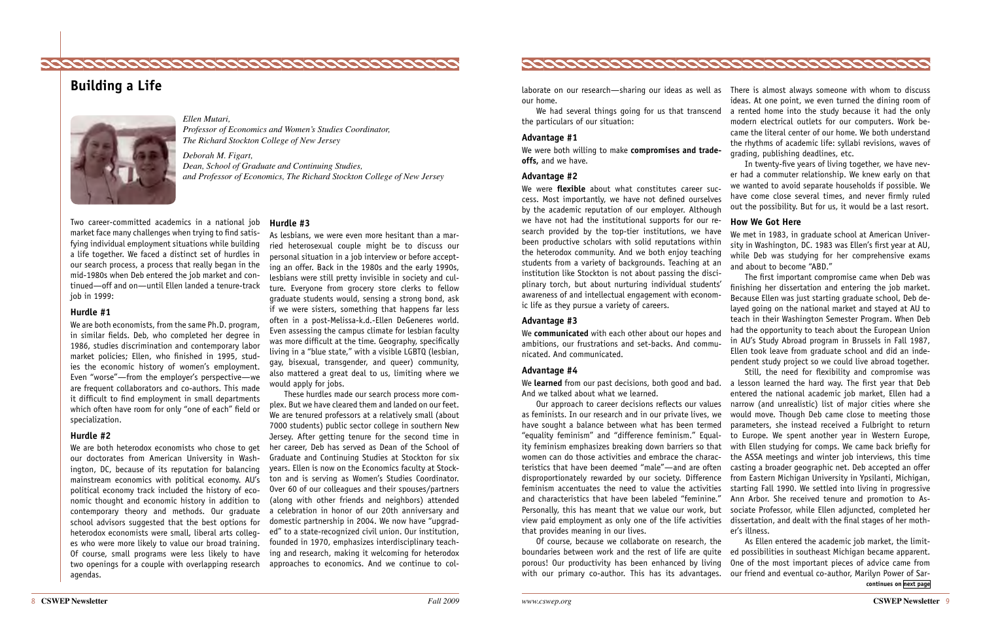our home.

We had several things going for us that transcend the particulars of our situation:

#### **Advantage #1**

We were both willing to make **compromises and tradeoffs,** and we have.

#### **Advantage #2**

We were **flexible** about what constitutes career success. Most importantly, we have not defined ourselves by the academic reputation of our employer. Although we have not had the institutional supports for our research provided by the top-tier institutions, we have been productive scholars with solid reputations within the heterodox community. And we both enjoy teaching students from a variety of backgrounds. Teaching at an institution like Stockton is not about passing the disci-

#### **Advantage #4**

laborate on our research—sharing our ideas as well as There is almost always someone with whom to discuss ideas. At one point, we even turned the dining room of a rented home into the study because it had the only modern electrical outlets for our computers. Work became the literal center of our home. We both understand the rhythms of academic life: syllabi revisions, waves of grading, publishing deadlines, etc.

plinary torch, but about nurturing individual students' awareness of and intellectual engagement with economic life as they pursue a variety of careers. **Advantage #3** We **communicated** with each other about our hopes and ambitions, our frustrations and set-backs. And communicated. And communicated. The first important compromise came when Deb was finishing her dissertation and entering the job market. Because Ellen was just starting graduate school, Deb delayed going on the national market and stayed at AU to teach in their Washington Semester Program. When Deb had the opportunity to teach about the European Union in AU's Study Abroad program in Brussels in Fall 1987, Ellen took leave from graduate school and did an independent study project so we could live abroad together.

We learned from our past decisions, both good and bad. a lesson learned the hard way. The first year that Deb And we talked about what we learned. Our approach to career decisions reflects our values as feminists. In our research and in our private lives, we have sought a balance between what has been termed "equality feminism" and "difference feminism." Equality feminism emphasizes breaking down barriers so that women can do those activities and embrace the characteristics that have been deemed "male"—and are often disproportionately rewarded by our society. Difference feminism accentuates the need to value the activities and characteristics that have been labeled "feminine." Personally, this has meant that we value our work, but view paid employment as only one of the life activities dissertation, and dealt with the final stages of her moththat provides meaning in our lives. Still, the need for flexibility and compromise was entered the national academic job market, Ellen had a narrow (and unrealistic) list of major cities where she would move. Though Deb came close to meeting those parameters, she instead received a Fulbright to return to Europe. We spent another year in Western Europe, with Ellen studying for comps. We came back briefly for the ASSA meetings and winter job interviews, this time casting a broader geographic net. Deb accepted an offer from Eastern Michigan University in Ypsilanti, Michigan, starting Fall 1990. We settled into living in progressive Ann Arbor. She received tenure and promotion to Associate Professor, while Ellen adjuncted, completed her er's illness.

In twenty-five years of living together, we have never had a commuter relationship. We knew early on that we wanted to avoid separate households if possible. We have come close several times, and never firmly ruled out the possibility. But for us, it would be a last resort.

#### **How We Got Here**

We met in 1983, in graduate school at American University in Washington, DC. 1983 was Ellen's first year at AU, while Deb was studying for her comprehensive exams and about to become "ABD."

Of course, because we collaborate on research, the boundaries between work and the rest of life are quite porous! Our productivity has been enhanced by living with our primary co-author. This has its advantages. our friend and eventual co-author, Marilyn Power of Sar-As Ellen entered the academic job market, the limited possibilities in southeast Michigan became apparent. One of the most important pieces of advice came from

As lesbians, we were even more hesitant than a married heterosexual couple might be to discuss our personal situation in a job interview or before accepting an offer. Back in the 1980s and the early 1990s, lesbians were still pretty invisible in society and culture. Everyone from grocery store clerks to fellow graduate students would, sensing a strong bond, ask if we were sisters, something that happens far less often in a post-Melissa-k.d.-Ellen DeGeneres world. Even assessing the campus climate for lesbian faculty was more difficult at the time. Geography, specifically living in a "blue state," with a visible LGBTQ (lesbian, gay, bisexual, transgender, and queer) community, also mattered a great deal to us, limiting where we would apply for jobs.

**Hurdle #3** Two career-committed academics in a national job market face many challenges when trying to find satisfying individual employment situations while building a life together. We faced a distinct set of hurdles in our search process, a process that really began in the mid-1980s when Deb entered the job market and continued—off and on—until Ellen landed a tenure-track job in 1999:

> These hurdles made our search process more complex. But we have cleared them and landed on our feet. We are tenured professors at a relatively small (about 7000 students) public sector college in southern New Jersey. After getting tenure for the second time in her career, Deb has served as Dean of the School of Graduate and Continuing Studies at Stockton for six years. Ellen is now on the Economics faculty at Stockton and is serving as Women's Studies Coordinator. Over 60 of our colleagues and their spouses/partners (along with other friends and neighbors) attended a celebration in honor of our 20th anniversary and domestic partnership in 2004. We now have "upgraded" to a state-recognized civil union. Our institution, founded in 1970, emphasizes interdisciplinary teaching and research, making it welcoming for heterodox approaches to economics. And we continue to col-



#### **Hurdle #1**

We are both economists, from the same Ph.D. program, in similar fields. Deb, who completed her degree in 1986, studies discrimination and contemporary labor market policies; Ellen, who finished in 1995, studies the economic history of women's employment. Even "worse"—from the employer's perspective—we are frequent collaborators and co-authors. This made it difficult to find employment in small departments which often have room for only "one of each" field or specialization.

#### **Hurdle #2**

We are both heterodox economists who chose to get our doctorates from American University in Washington, DC, because of its reputation for balancing mainstream economics with political economy. AU's political economy track included the history of economic thought and economic history in addition to contemporary theory and methods. Our graduate school advisors suggested that the best options for heterodox economists were small, liberal arts colleges who were more likely to value our broad training. Of course, small programs were less likely to have two openings for a couple with overlapping research agendas.

# <span id="page-4-0"></span>

# **Building a Life**



*Ellen Mutari, Professor of Economics and Women's Studies Coordinator, The Richard Stockton College of New Jersey*

*Deborah M. Figart, Dean, School of Graduate and Continuing Studies, and Professor of Economics, The Richard Stockton College of New Jersey*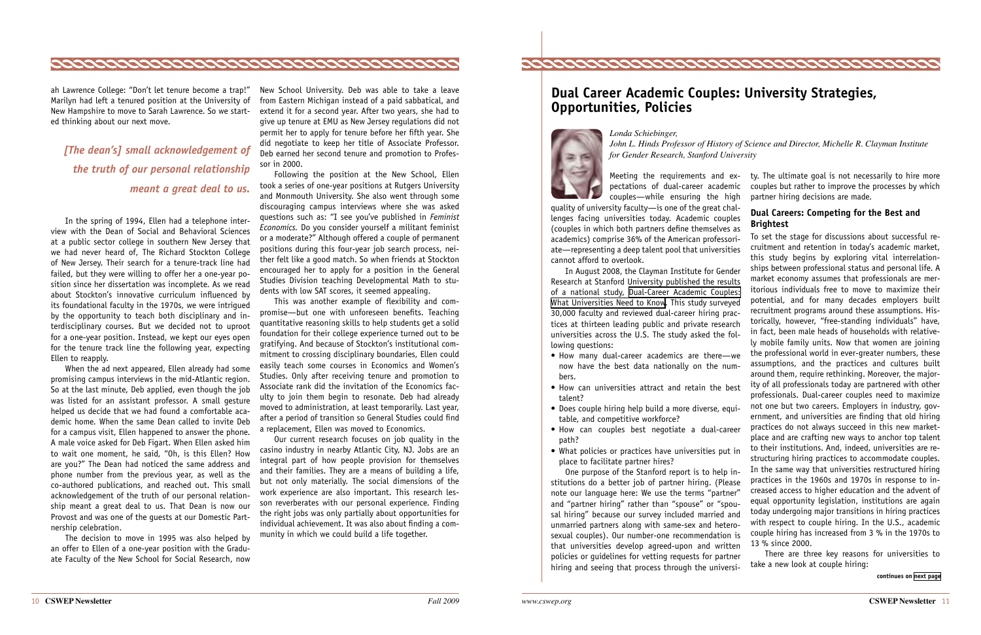

Meeting the requirements and ex- ty. The ultimate goal is not necessarily to hire more couples but rather to improve the processes by which partner hiring decisions are made.

**Dual Careers: Competing for the Best and Brightest**

To set the stage for discussions about successful recruitment and retention in today's academic market, this study begins by exploring vital interrelationships between professional status and personal life. A market economy assumes that professionals are meritorious individuals free to move to maximize their potential, and for many decades employers built recruitment programs around these assumptions. Historically, however, "free-standing individuals" have, in fact, been male heads of households with relatively mobile family units. Now that women are joining the professional world in ever-greater numbers, these assumptions, and the practices and cultures built around them, require rethinking. Moreover, the majority of all professionals today are partnered with other professionals. Dual-career couples need to maximize not one but two careers. Employers in industry, government, and universities are finding that old hiring practices do not always succeed in this new marketplace and are crafting new ways to anchor top talent to their institutions. And, indeed, universities are restructuring hiring practices to accommodate couples. In the same way that universities restructured hiring practices in the 1960s and 1970s in response to increased access to higher education and the advent of equal opportunity legislation, institutions are again today undergoing major transitions in hiring practices with respect to couple hiring. In the U.S., academic couple hiring has increased from 3 % in the 1970s to 13 % since 2000.

- How many dual-career academics are there—we now have the best data nationally on the numbers.
- How can universities attract and retain the best talent?
- Does couple hiring help build a more diverse, equitable, and competitive workforce?
- How can couples best negotiate a dual-career path?
- What policies or practices have universities put in place to facilitate partner hires?

There are three key reasons for universities to take a new look at couple hiring:

pectations of dual-career academic couples—while ensuring the high

quality of university faculty—is one of the great challenges facing universities today. Academic couples (couples in which both partners define themselves as academics) comprise 36% of the American professoriate—representing a deep talent pool that universities cannot afford to overlook.

In August 2008, the Clayman Institute for Gender Research at Stanford University published the results of a national study, [Dual-Career Academic Couples:](http://www.stanford.edu/group/gender/ResearchPrograms/DualCareer/DualCareerFinal.pdf)  [What Universities Need to Know.](http://www.stanford.edu/group/gender/ResearchPrograms/DualCareer/DualCareerFinal.pdf) This study surveyed 30,000 faculty and reviewed dual-career hiring practices at thirteen leading public and private research universities across the U.S. The study asked the following questions:

One purpose of the Stanford report is to help institutions do a better job of partner hiring. (Please note our language here: We use the terms "partner" and "partner hiring" rather than "spouse" or "spousal hiring" because our survey included married and unmarried partners along with same-sex and heterosexual couples). Our number-one recommendation is that universities develop agreed-upon and written policies or guidelines for vetting requests for partner hiring and seeing that process through the universi-

# **Dual Career Academic Couples: University Strategies, Opportunities, Policies**



*Londa Schiebinger, John L. Hinds Professor of History of Science and Director, Michelle R. Clayman Institute for Gender Research, Stanford University*

<span id="page-5-0"></span>

ah Lawrence College: "Don't let tenure become a trap!" Marilyn had left a tenured position at the University of New Hampshire to move to Sarah Lawrence. So we started thinking about our next move.

In the spring of 1994, Ellen had a telephone interview with the Dean of Social and Behavioral Sciences at a public sector college in southern New Jersey that we had never heard of, The Richard Stockton College of New Jersey. Their search for a tenure-track line had failed, but they were willing to offer her a one-year position since her dissertation was incomplete. As we read about Stockton's innovative curriculum influenced by its foundational faculty in the 1970s, we were intrigued by the opportunity to teach both disciplinary and interdisciplinary courses. But we decided not to uproot for a one-year position. Instead, we kept our eyes open for the tenure track line the following year, expecting Ellen to reapply.

When the ad next appeared, Ellen already had some promising campus interviews in the mid-Atlantic region. So at the last minute, Deb applied, even though the job was listed for an assistant professor. A small gesture helped us decide that we had found a comfortable academic home. When the same Dean called to invite Deb for a campus visit, Ellen happened to answer the phone. A male voice asked for Deb Figart. When Ellen asked him to wait one moment, he said, "Oh, is this Ellen? How are you?" The Dean had noticed the same address and phone number from the previous year, as well as the co-authored publications, and reached out. This small acknowledgement of the truth of our personal relationship meant a great deal to us. That Dean is now our Provost and was one of the guests at our Domestic Partnership celebration.

The decision to move in 1995 was also helped by an offer to Ellen of a one-year position with the Graduate Faculty of the New School for Social Research, now

New School University. Deb was able to take a leave from Eastern Michigan instead of a paid sabbatical, and extend it for a second year. After two years, she had to give up tenure at EMU as New Jersey regulations did not permit her to apply for tenure before her fifth year. She did negotiate to keep her title of Associate Professor. Deb earned her second tenure and promotion to Professor in 2000.

Following the position at the New School, Ellen took a series of one-year positions at Rutgers University and Monmouth University. She also went through some discouraging campus interviews where she was asked questions such as: "I see you've published in *Feminist Economics.* Do you consider yourself a militant feminist or a moderate?" Although offered a couple of permanent positions during this four-year job search process, neither felt like a good match. So when friends at Stockton encouraged her to apply for a position in the General Studies Division teaching Developmental Math to students with low SAT scores, it seemed appealing.

This was another example of flexibility and compromise—but one with unforeseen benefits. Teaching quantitative reasoning skills to help students get a solid foundation for their college experience turned out to be gratifying. And because of Stockton's institutional commitment to crossing disciplinary boundaries, Ellen could easily teach some courses in Economics and Women's Studies. Only after receiving tenure and promotion to Associate rank did the invitation of the Economics faculty to join them begin to resonate. Deb had already moved to administration, at least temporarily. Last year, after a period of transition so General Studies could find a replacement, Ellen was moved to Economics.

Our current research focuses on job quality in the casino industry in nearby Atlantic City, NJ. Jobs are an integral part of how people provision for themselves and their families. They are a means of building a life, but not only materially. The social dimensions of the work experience are also important. This research lesson reverberates with our personal experience. Finding the right jobs was only partially about opportunities for individual achievement. It was also about finding a community in which we could build a life together.

*[The dean's] small acknowledgement of the truth of our personal relationship meant a great deal to us.*

**continues on [next page](#page-6-0)**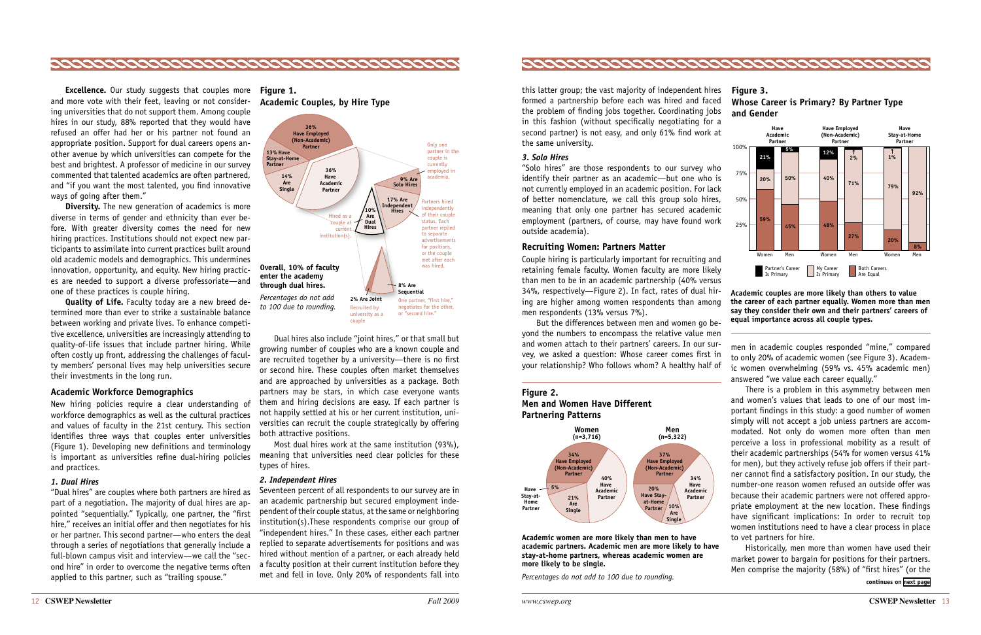"Solo hires" are those respondents to our survey who identify their partner as an academic—but one who is not currently employed in an academic position. For lack of better nomenclature, we call this group solo hires, meaning that only one partner has secured academic employment (partners, of course, may have found work outside academia). their partr y employed in an academic position. For l de academia). <sub>.</sub><br>mers, of course, may have found wor:  $\boldsymbol{\theta}$ pla hirac couple is nave round wo

this latter group; the vast majority of independent hires formed a partnership before each was hired and faced the problem of finding jobs together. Coordinating jobs in this fashion (without specifically negotiating for a second partner) is not easy, and only 61% find work at the same university.

#### *3. Solo Hires*

But the differences between men and women go beyond the numbers to encompass the relative value men **8% Are** and women attach to their partners' careers. In our survey, we asked a question: Whose career comes first in vey, we asked a question: whose career comes more in **Sequential** n: Whose career comes  $\overline{\ }$ ollov

men in academic couples responded "mine," compared to only 20% of academic women (see Figure 3). Academic women overwhelming (59% vs. 45% academic men) answered "we value each career equally."

There is a problem in this asymmetry between men and women's values that leads to one of our most important findings in this study: a good number of women simply will not accept a job unless partners are accommodated. Not only do women more often than men perceive a loss in professional mobility as a result of their academic partnerships (54% for women versus 41% for men), but they actively refuse job offers if their partner cannot find a satisfactory position. In our study, the number-one reason women refused an outside offer was because their academic partners were not offered appropriate employment at the new location. These findings have significant implications: In order to recruit top women institutions need to have a clear process in place to vet partners for hire.

Historically, men more than women have used their market power to bargain for positions for their partners. Men comprise the majority (58%) of "first hires" (or the

### **Recruiting Women: Partners Matter 17% Are Independent**

Couple hiring is particularly important for recruiting and retaining female faculty. Women faculty are more likely than men to be in an academic partnership (40% versus than men to be in an academic partnership (40% versus and men to be in an addedning parametering (to be cerease<br>34%, respectively—Figure 2). In fact, rates of dual hiring are higher among women respondents than among men respondents (13% versus 7%). rticularly important for recruiting an culty. Women faculty are more likel of dual h nan amon in an aca



<span id="page-6-0"></span>

**Excellence.** Our study suggests that couples more **Figure 1.**  and more vote with their feet, leaving or not considering universities that do not support them. Among couple hires in our study, 88% reported that they would have refused an offer had her or his partner not found an appropriate position. Support for dual careers opens another avenue by which universities can compete for the best and brightest. A professor of medicine in our survey commented that talented academics are often partnered, and "if you want the most talented, you find innovative ways of going after them."

**Diversity.** The new generation of academics is more diverse in terms of gender and ethnicity than ever before. With greater diversity comes the need for new hiring practices. Institutions should not expect new participants to assimilate into current practices built around old academic models and demographics. This undermines innovation, opportunity, and equity. New hiring practices are needed to support a diverse professoriate—and one of these practices is couple hiring.





Most dual hires work at the same institution (93%), **Have**  meaning that universities need clear policies for these **21%** types of hires. **Are Single 10%** on (93 **Paraming that universities need clear policies for t Have Most dual hires work at the same ir Home Have Stay**ear po

Seventeen percent of all respondents to our survey are in an academic partnership but secured employment independent of their couple status, at the same or neighboring institution(s).These respondents comprise our group of "independent hires." In these cases, either each partner replied to separate advertisements for positions and was **Have Have Employed Have** hired without mention of a partner, or each already held a faculty position at their current institution before they met and fell in love. Only 20% of respondents fall into

**Have**

**Have Employed**

**Have**

#### **Figure 2.**

**Men and Women Have Different Partnering Patterns**



**Academic women are more likely than men to have academic partners. Academic men are more likely to have stay-at-home partners, whereas academic women are more likely to be single.**

*Percentages do not add to 100 due to rounding.*

#### **Academic couples are more likely than others to value the career of each partner equally. Women more than men say they consider their own and their partners' careers of equal importance across all couple types.**

**Quality of Life.** Faculty today are a new breed determined more than ever to strike a sustainable balance between working and private lives. To enhance competitive excellence, universities are increasingly attending to quality-of-life issues that include partner hiring. While often costly up front, addressing the challenges of faculty members' personal lives may help universities secure their investments in the long run.

#### **Academic Workforce Demographics**

New hiring policies require a clear understanding of workforce demographics as well as the cultural practices and values of faculty in the 21st century. This section identifies three ways that couples enter universities (Figure 1). Developing new definitions and terminology is important as universities refine dual-hiring policies and practices.

#### *1. Dual Hires*

"Dual hires" are couples where both partners are hired as part of a negotiation. The majority of dual hires are appointed "sequentially." Typically, one partner, the "first hire," receives an initial offer and then negotiates for his or her partner. This second partner—who enters the deal through a series of negotiations that generally include a full-blown campus visit and interview—we call the "second hire" in order to overcome the negative terms often applied to this partner, such as "trailing spouse."

#### *2. Independent Hires*

Dual hires also include "joint hires," or that small but growing number of couples who are a known couple and are recruited together by a university—there is no first or second hire. These couples often market themselves and are approached by universities as a package. Both partners may be stars, in which case everyone wants **(n=3,716) (n=5,322)** them and hiring decisions are easy. If each partner is not happily settled at his or her current institution, uni-**34%** versities can recruit the couple strategically by offering both attractive positions. **y** settled at his or her current in: **Have Employed Partner**

75%

**Academic Couples, by Hire Type**



**continues on [next page](#page-7-0)**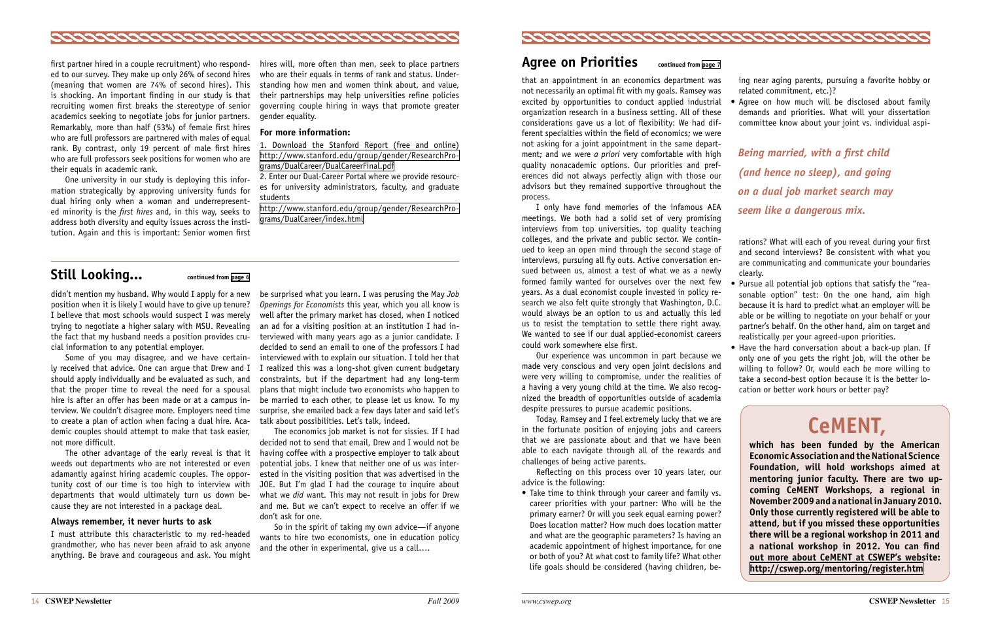## **Agree on Priorities continued from [page 7](#page-3-0)**

that an appointment in an economics department was not necessarily an optimal fit with my goals. Ramsey was excited by opportunities to conduct applied industrial organization research in a business setting. All of these considerations gave us a lot of flexibility: We had different specialties within the field of economics; we were not asking for a joint appointment in the same department; and we were *a priori* very comfortable with high quality nonacademic options. Our priorities and preferences did not always perfectly align with those our advisors but they remained supportive throughout the process.

I only have fond memories of the infamous AEA meetings. We both had a solid set of very promising interviews from top universities, top quality teaching colleges, and the private and public sector. We continued to keep an open mind through the second stage of interviews, pursuing all fly outs. Active conversation ensued between us, almost a test of what we as a newly formed family wanted for ourselves over the next few years. As a dual economist couple invested in policy research we also felt quite strongly that Washington, D.C. would always be an option to us and actually this led us to resist the temptation to settle there right away. We wanted to see if our dual applied-economist careers could work somewhere else first.

• Take time to think through your career and family vs. career priorities with your partner: Who will be the primary earner? Or will you seek equal earning power? Does location matter? How much does location matter and what are the geographic parameters? Is having an academic appointment of highest importance, for one or both of you? At what cost to family life? What other life goals should be considered (having children, be• Agree on how much will be disclosed about family demands and priorities. What will your dissertation committee know about your joint vs. individual aspi-

Our experience was uncommon in part because we made very conscious and very open joint decisions and were very willing to compromise, under the realities of a having a very young child at the time. We also recognized the breadth of opportunities outside of academia despite pressures to pursue academic positions.

- Pursue all potential job options that satisfy the "reasonable option" test: On the one hand, aim high because it is hard to predict what an employer will be able or be willing to negotiate on your behalf or your partner's behalf. On the other hand, aim on target and realistically per your agreed-upon priorities.
- Have the hard conversation about a back-up plan. If only one of you gets the right job, will the other be willing to follow? Or, would each be more willing to take a second-best option because it is the better location or better work hours or better pay?

Today, Ramsey and I feel extremely lucky that we are in the fortunate position of enjoying jobs and careers that we are passionate about and that we have been able to each navigate through all of the rewards and challenges of being active parents.

Reflecting on this process over 10 years later, our advice is the following:

ing near aging parents, pursuing a favorite hobby or related commitment, etc.)?

rations? What will each of you reveal during your first and second interviews? Be consistent with what you are communicating and communicate your boundaries clearly.

*Being married, with a first child (and hence no sleep), and going on a dual job market search may seem like a dangerous mix.*

didn't mention my husband. Why would I apply for a new position when it is likely I would have to give up tenure? I believe that most schools would suspect I was merely trying to negotiate a higher salary with MSU. Revealing the fact that my husband needs a position provides crucial information to any potential employer.

Some of you may disagree, and we have certainly received that advice. One can argue that Drew and I should apply individually and be evaluated as such, and that the proper time to reveal the need for a spousal hire is after an offer has been made or at a campus interview. We couldn't disagree more. Employers need time to create a plan of action when facing a dual hire. Academic couples should attempt to make that task easier, not more difficult.

The other advantage of the early reveal is that it weeds out departments who are not interested or even adamantly against hiring academic couples. The opportunity cost of our time is too high to interview with departments that would ultimately turn us down because they are not interested in a package deal.

#### **Always remember, it never hurts to ask**

I must attribute this characteristic to my red-headed grandmother, who has never been afraid to ask anyone anything. Be brave and courageous and ask. You might be surprised what you learn. I was perusing the May *Job Openings for Economists* this year, which you all know is well after the primary market has closed, when I noticed an ad for a visiting position at an institution I had interviewed with many years ago as a junior candidate. I decided to send an email to one of the professors I had interviewed with to explain our situation. I told her that I realized this was a long-shot given current budgetary constraints, but if the department had any long-term plans that might include two economists who happen to be married to each other, to please let us know. To my surprise, she emailed back a few days later and said let's talk about possibilities. Let's talk, indeed.

The economics job market is not for sissies. If I had decided not to send that email, Drew and I would not be having coffee with a prospective employer to talk about potential jobs. I knew that neither one of us was interested in the visiting position that was advertised in the JOE. But I'm glad I had the courage to inquire about what we *did* want. This may not result in jobs for Drew and me. But we can't expect to receive an offer if we don't ask for one.

So in the spirit of taking my own advice—if anyone wants to hire two economists, one in education policy and the other in experimental, give us a call….



<span id="page-7-0"></span>

first partner hired in a couple recruitment) who respond-hires will, more often than men, seek to place partners ed to our survey. They make up only 26% of second hires (meaning that women are 74% of second hires). This is shocking. An important finding in our study is that recruiting women first breaks the stereotype of senior academics seeking to negotiate jobs for junior partners. Remarkably, more than half (53%) of female first hires who are full professors are partnered with males of equal rank. By contrast, only 19 percent of male first hires who are full professors seek positions for women who are their equals in academic rank.

One university in our study is deploying this information strategically by approving university funds for dual hiring only when a woman and underrepresented minority is the *first hires* and, in this way, seeks to address both diversity and equity issues across the institution. Again and this is important: Senior women first

who are their equals in terms of rank and status. Understanding how men and women think about, and value, their partnerships may help universities refine policies governing couple hiring in ways that promote greater gender equality.

#### **For more information:**

1. Download the Stanford Report (free and online) [http://www.stanford.edu/group/gender/ResearchPro](http://www.stanford.edu/group/gender/ResearchPrograms/DualCareer/DualCareerFinal.pdf)[grams/DualCareer/DualCareerFinal.pdf](http://www.stanford.edu/group/gender/ResearchPrograms/DualCareer/DualCareerFinal.pdf) 

2. Enter our Dual-Career Portal where we provide resources for university administrators, faculty, and graduate students

[http://www.stanford.edu/group/gender/ResearchPro](http://www.stanford.edu/group/gender/ResearchPrograms/DualCareer/index.html)[grams/DualCareer/index.html](http://www.stanford.edu/group/gender/ResearchPrograms/DualCareer/index.html)

## **Still Looking... continued from [page 6](#page-3-0)**

# **CeMent,**

**which has been funded by the American Economic Association and the National Science Foundation, will hold workshops aimed at mentoring junior faculty. There are two upcoming CeMENT Workshops, a regional in November 2009 and a national in January 2010. Only those currently registered will be able to attend, but if you missed these opportunities there will be a regional workshop in 2011 and a national workshop in 2012. You can find out more about CeMENT at CSWEP's website: <http://cswep.org/mentoring/register.htm>**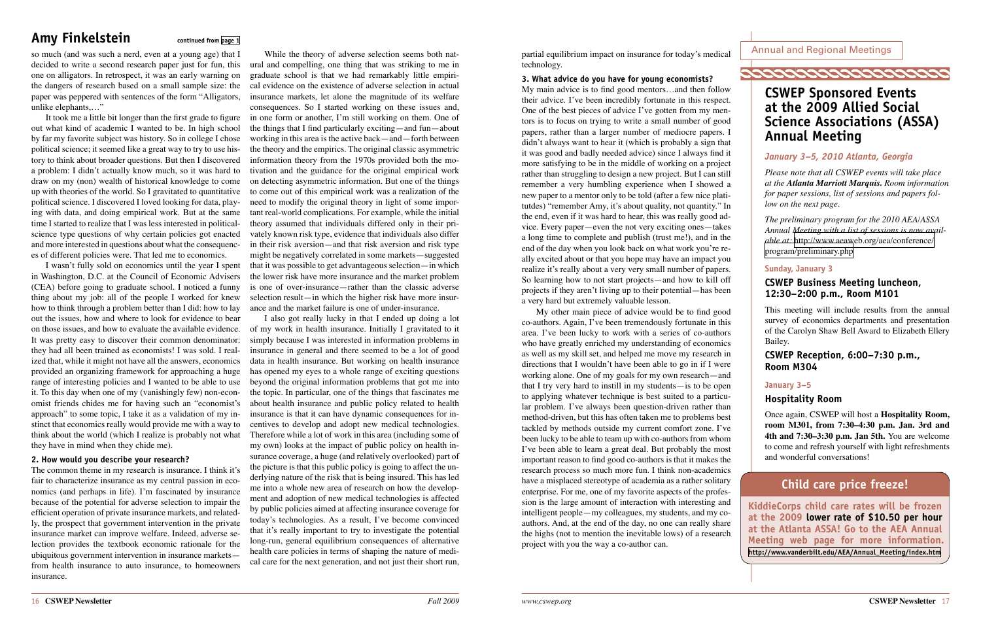16 **CSWEP Newsletter** *Fall 2009 www.cswep.org* **CSWEP Newsletter** 17

partial equilibrium impact on insurance for today's medical technology.

#### **3. What advice do you have for young economists?**

My main advice is to find good mentors…and then follow their advice. I've been incredibly fortunate in this respect. One of the best pieces of advice I've gotten from my mentors is to focus on trying to write a small number of good papers, rather than a larger number of mediocre papers. I didn't always want to hear it (which is probably a sign that it was good and badly needed advice) since I always find it more satisfying to be in the middle of working on a project rather than struggling to design a new project. But I can still remember a very humbling experience when I showed a new paper to a mentor only to be told (after a few nice platitutdes) "remember Amy, it's about quality, not quantity." In the end, even if it was hard to hear, this was really good advice. Every paper—even the not very exciting ones—takes a long time to complete and publish (trust me!), and in the end of the day when you look back on what work you're really excited about or that you hope may have an impact you realize it's really about a very very small number of papers. So learning how to not start projects—and how to kill off projects if they aren't living up to their potential—has been a very hard but extremely valuable lesson.

My other main piece of advice would be to find good co-authors. Again, I've been tremendously fortunate in this area. I've been lucky to work with a series of co-authors who have greatly enriched my understanding of economics as well as my skill set, and helped me move my research in directions that I wouldn't have been able to go in if I were working alone. One of my goals for my own research—and that I try very hard to instill in my students—is to be open to applying whatever technique is best suited to a particular problem. I've always been question-driven rather than method-driven, but this has often taken me to problems best tackled by methods outside my current comfort zone. I've been lucky to be able to team up with co-authors from whom I've been able to learn a great deal. But probably the most important reason to find good co-authors is that it makes the research process so much more fun. I think non-academics have a misplaced stereotype of academia as a rather solitary enterprise. For me, one of my favorite aspects of the profession is the large amount of interaction with interesting and intelligent people—my colleagues, my students, and my coauthors. And, at the end of the day, no one can really share the highs (not to mention the inevitable lows) of a research project with you the way a co-author can.

Annual and Regional Meetings

# **CSWEP Sponsored Events at the 2009 Allied Social Science Associations (ASSA) Annual Meeting**

### *January 3–5, 2010 Atlanta, Georgia*

*Please note that all CSWEP events will take place at the Atlanta Marriott Marquis. Room information for paper sessions, list of sessions and papers follow on the next page.*

*The preliminary program for the 2010 AEA/ASSA Annual Meeting with a list of sessions is now available at:* [http://www.aeaweb.org/aea/conference/](http://www.aeaweb.org/aea/conference/program/preliminary.php) [program/preliminary.php](http://www.aeaweb.org/aea/conference/program/preliminary.php)

### **Sunday, January 3**

### **CSWEP Business Meeting luncheon, 12:30–2:00 p.m., Room M101**

This meeting will include results from the annual survey of economics departments and presentation of the Carolyn Shaw Bell Award to Elizabeth Ellery Bailey.

### **CSWEP Reception, 6:00–7:30 p.m., Room M304**

#### **January 3–5**

### **Hospitality Room**

Once again, CSWEP will host a **Hospitality Room, room M301, from 7:30–4:30 p.m. Jan. 3rd and 4th and 7:30–3:30 p.m. Jan 5th.** You are welcome to come and refresh yourself with light refreshments and wonderful conversations!

# **Child care price freeze!**

**KiddieCorps child care rates will be frozen at the 2009 lower rate of \$10.50 per hour at the Atlanta ASSA! Go to the AEA Annual Meeting web page for more information. [http://www.vanderbilt.edu/AEA/Annual\\_Meeting/index.htm](http://www.vanderbilt.edu/AEA/Annual_Meeting/index.htm)**

# <span id="page-8-0"></span>Amy Finkelstein continued from [page 1](#page-0-0)

so much (and was such a nerd, even at a young age) that I decided to write a second research paper just for fun, this ural and compelling, one thing that was striking to me in one on alligators. In retrospect, it was an early warning on the dangers of research based on a small sample size: the paper was peppered with sentences of the form "Alligators, unlike elephants,…"

It took me a little bit longer than the first grade to figure out what kind of academic I wanted to be. In high school by far my favorite subject was history. So in college I chose political science; it seemed like a great way to try to use history to think about broader questions. But then I discovered a problem: I didn't actually know much, so it was hard to draw on my (non) wealth of historical knowledge to come up with theories of the world. So I gravitated to quantitative political science. I discovered I loved looking for data, playing with data, and doing empirical work. But at the same time I started to realize that I was less interested in politicalscience type questions of why certain policies got enacted and more interested in questions about what the consequences of different policies were. That led me to economics.

I wasn't fully sold on economics until the year I spent in Washington, D.C. at the Council of Economic Advisers (CEA) before going to graduate school. I noticed a funny thing about my job: all of the people I worked for knew how to think through a problem better than I did: how to lay out the issues, how and where to look for evidence to bear on those issues, and how to evaluate the available evidence. It was pretty easy to discover their common denominator: they had all been trained as economists! I was sold. I realized that, while it might not have all the answers, economics provided an organizing framework for approaching a huge range of interesting policies and I wanted to be able to use it. To this day when one of my (vanishingly few) non-economist friends chides me for having such an "economist's approach" to some topic, I take it as a validation of my instinct that economics really would provide me with a way to think about the world (which I realize is probably not what they have in mind when they chide me).

#### **2. How would you describe your research?**

The common theme in my research is insurance. I think it's fair to characterize insurance as my central passion in economics (and perhaps in life). I'm fascinated by insurance because of the potential for adverse selection to impair the efficient operation of private insurance markets, and relatedly, the prospect that government intervention in the private insurance market can improve welfare. Indeed, adverse selection provides the textbook economic rationale for the ubiquitous government intervention in insurance markets from health insurance to auto insurance, to homeowners insurance.

While the theory of adverse selection seems both natgraduate school is that we had remarkably little empirical evidence on the existence of adverse selection in actual insurance markets, let alone the magnitude of its welfare consequences. So I started working on these issues and, in one form or another, I'm still working on them. One of the things that I find particularly exciting—and fun—about working in this area is the active back—and—forth between the theory and the empirics. The original classic asymmetric information theory from the 1970s provided both the motivation and the guidance for the original empirical work on detecting asymmetric information. But one of the things to come out of this empirical work was a realization of the need to modify the original theory in light of some important real-world complications. For example, while the initial theory assumed that individuals differed only in their privately known risk type, evidence that individuals also differ in their risk aversion—and that risk aversion and risk type might be negatively correlated in some markets—suggested that it was possible to get advantageous selection—in which the lower risk have more insurance and the market problem is one of over-insurance—rather than the classic adverse selection result—in which the higher risk have more insurance and the market failure is one of under-insurance.

I also got really lucky in that I ended up doing a lot of my work in health insurance. Initially I gravitated to it simply because I was interested in information problems in insurance in general and there seemed to be a lot of good data in health insurance. But working on health insurance has opened my eyes to a whole range of exciting questions beyond the original information problems that got me into the topic. In particular, one of the things that fascinates me about health insurance and public policy related to health insurance is that it can have dynamic consequences for incentives to develop and adopt new medical technologies. Therefore while a lot of work in this area (including some of my own) looks at the impact of public policy on health insurance coverage, a huge (and relatively overlooked) part of the picture is that this public policy is going to affect the underlying nature of the risk that is being insured. This has led me into a whole new area of research on how the development and adoption of new medical technologies is affected by public policies aimed at affecting insurance coverage for today's technologies. As a result, I've become convinced that it's really important to try to investigate the potential long-run, general equilibrium consequences of alternative health care policies in terms of shaping the nature of medical care for the next generation, and not just their short run,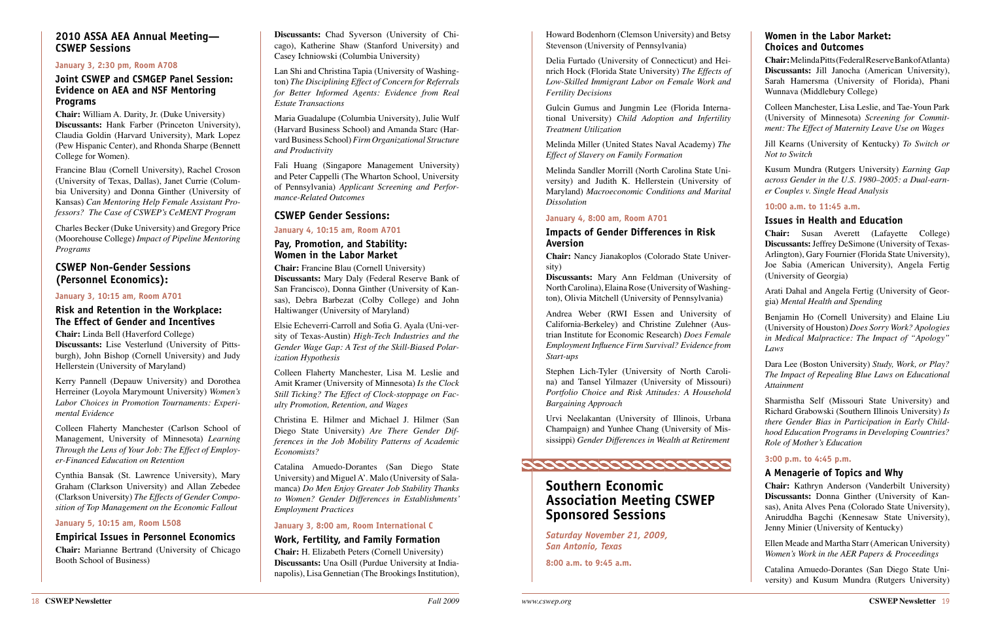

Howard Bodenhorn (Clemson University) and Betsy Stevenson (University of Pennsylvania)

Delia Furtado (University of Connecticut) and Heinrich Hock (Florida State University) *The Effects of Low-Skilled Immigrant Labor on Female Work and Fertility Decisions*

Gulcin Gumus and Jungmin Lee (Florida International University) *Child Adoption and Infertility Treatment Utilization*

Melinda Miller (United States Naval Academy) *The Effect of Slavery on Family Formation*

Melinda Sandler Morrill (North Carolina State University) and Judith K. Hellerstein (University of Maryland) *Macroeconomic Conditions and Marital Dissolution*

#### **January 4, 8:00 am, Room A701**

#### **Impacts of Gender Differences in Risk Aversion**

**Chair:** Nancy Jianakoplos (Colorado State University)

**Discussants:** Mary Ann Feldman (University of North Carolina), Elaina Rose (University of Washington), Olivia Mitchell (University of Pennsylvania)

Andrea Weber (RWI Essen and University of California-Berkeley) and Christine Zulehner (Austrian Institute for Economic Research) *Does Female Employment Influence Firm Survival? Evidence from Start-ups*

Stephen Lich-Tyler (University of North Carolina) and Tansel Yilmazer (University of Missouri) *Portfolio Choice and Risk Attitudes: A Household Bargaining Approach*

Urvi Neelakantan (University of Illinois, Urbana Champaign) and Yunhee Chang (University of Mississippi) *Gender Differences in Wealth at Retirement*

# **Southern Economic**

# **Association Meeting CSWEP Sponsored Sessions**

*Saturday November 21, 2009, San Antonio, Texas*

**8:00 a.m. to 9:45 a.m.**

#### **Women in the Labor Market: Choices and Outcomes**

**Chair:** Melinda Pitts (Federal Reserve Bank of Atlanta) **Discussants:** Jill Janocha (American University), Sarah Hamersma (University of Florida), Phani Wunnava (Middlebury College)

Colleen Manchester, Lisa Leslie, and Tae-Youn Park (University of Minnesota) *Screening for Commitment: The Effect of Maternity Leave Use on Wages*

Jill Kearns (University of Kentucky) *To Switch or Not to Switch* 

Kusum Mundra (Rutgers University) *Earning Gap across Gender in the U.S. 1980–2005: a Dual-earner Couples v. Single Head Analysis* 

#### **10:00 a.m. to 11:45 a.m.**

### **Issues in Health and Education**

**Chair:** Susan Averett (Lafayette College) **Discussants:** Jeffrey DeSimone (University of Texas-Arlington), Gary Fournier (Florida State University), Joe Sabia (American University), Angela Fertig (University of Georgia)

Arati Dahal and Angela Fertig (University of Georgia) *Mental Health and Spending*

Benjamin Ho (Cornell University) and Elaine Liu (University of Houston) *Does Sorry Work? Apologies in Medical Malpractice: The Impact of "Apology" Laws*

Dara Lee (Boston University) *Study, Work, or Play? The Impact of Repealing Blue Laws on Educational Attainment* 

Sharmistha Self (Missouri State University) and Richard Grabowski (Southern Illinois University) *Is there Gender Bias in Participation in Early Childhood Education Programs in Developing Countries? Role of Mother's Education*

#### **3:00 p.m. to 4:45 p.m.**

### **A Menagerie of Topics and Why**

**Chair:** Kathryn Anderson (Vanderbilt University) **Discussants:** Donna Ginther (University of Kansas), Anita Alves Pena (Colorado State University), Aniruddha Bagchi (Kennesaw State University), Jenny Minier (University of Kentucky)

Ellen Meade and Martha Starr (American University) *Women's Work in the AER Papers & Proceedings* 

Catalina Amuedo-Dorantes (San Diego State University) and Kusum Mundra (Rutgers University)

### <span id="page-9-0"></span>**2010 ASSA AEA Annual Meeting— CSWEP Sessions**

#### **January 3, 2:30 pm, Room A708**

#### **Joint CSWEP and CSMGEP Panel Session: Evidence on AEA and NSF Mentoring Programs**

**Chair:** William A. Darity, Jr. (Duke University) **Discussants:** Hank Farber (Princeton University), Claudia Goldin (Harvard University), Mark Lopez (Pew Hispanic Center), and Rhonda Sharpe (Bennett College for Women).

Francine Blau (Cornell University), Rachel Croson (University of Texas, Dallas), Janet Currie (Columbia University) and Donna Ginther (University of Kansas) *Can Mentoring Help Female Assistant Professors? The Case of CSWEP's CeMENT Program*

Charles Becker (Duke University) and Gregory Price (Moorehouse College) *Impact of Pipeline Mentoring Programs*

### **CSWEP Non-Gender Sessions (Personnel Economics):**

#### **January 3, 10:15 am, Room A701**

#### **Risk and Retention in the Workplace: The Effect of Gender and Incentives**

**Chair:** Linda Bell (Haverford College) **Discussants:** Lise Vesterlund (University of Pittsburgh), John Bishop (Cornell University) and Judy Hellerstein (University of Maryland)

Kerry Pannell (Depauw University) and Dorothea Herreiner (Loyola Marymount University) *Women's Labor Choices in Promotion Tournaments: Experimental Evidence* 

Colleen Flaherty Manchester (Carlson School of Management, University of Minnesota) *Learning Through the Lens of Your Job: The Effect of Employer-Financed Education on Retention*

Cynthia Bansak (St. Lawrence University), Mary Graham (Clarkson University) and Allan Zebedee (Clarkson University) *The Effects of Gender Composition of Top Management on the Economic Fallout*

#### **January 5, 10:15 am, Room L508**

#### **Empirical Issues in Personnel Economics**

**Chair:** Marianne Bertrand (University of Chicago Booth School of Business)

**Discussants:** Chad Syverson (University of Chicago), Katherine Shaw (Stanford University) and Casey Ichniowski (Columbia University)

Lan Shi and Christina Tapia (University of Washington) *The Disciplining Effect of Concern for Referrals for Better Informed Agents: Evidence from Real Estate Transactions* 

Maria Guadalupe (Columbia University), Julie Wulf (Harvard Business School) and Amanda Starc (Harvard Business School) *Firm Organizational Structure and Productivity*

Fali Huang (Singapore Management University) and Peter Cappelli (The Wharton School, University of Pennsylvania) *Applicant Screening and Performance-Related Outcomes* 

#### **CSWEP Gender Sessions:**

**January 4, 10:15 am, Room A701**

#### **Pay, Promotion, and Stability: Women in the Labor Market**

**Chair:** Francine Blau (Cornell University) **Discussants:** Mary Daly (Federal Reserve Bank of San Francisco), Donna Ginther (University of Kansas), Debra Barbezat (Colby College) and John Haltiwanger (University of Maryland)

Elsie Echeverri-Carroll and Sofia G. Ayala (Uni-versity of Texas-Austin) *High-Tech Industries and the Gender Wage Gap: A Test of the Skill-Biased Polarization Hypothesis*

Colleen Flaherty Manchester, Lisa M. Leslie and Amit Kramer (University of Minnesota) *Is the Clock Still Ticking? The Effect of Clock-stoppage on Faculty Promotion, Retention, and Wages*

Christina E. Hilmer and Michael J. Hilmer (San Diego State University) *Are There Gender Differences in the Job Mobility Patterns of Academic Economists?*

Catalina Amuedo-Dorantes (San Diego State University) and Miguel A'. Malo (University of Salamanca) *Do Men Enjoy Greater Job Stability Thanks to Women? Gender Differences in Establishments' Employment Practices*

#### **January 3, 8:00 am, Room International C**

#### **Work, Fertility, and Family Formation**

**Chair:** H. Elizabeth Peters (Cornell University) **Discussants:** Una Osill (Purdue University at Indianapolis), Lisa Gennetian (The Brookings Institution),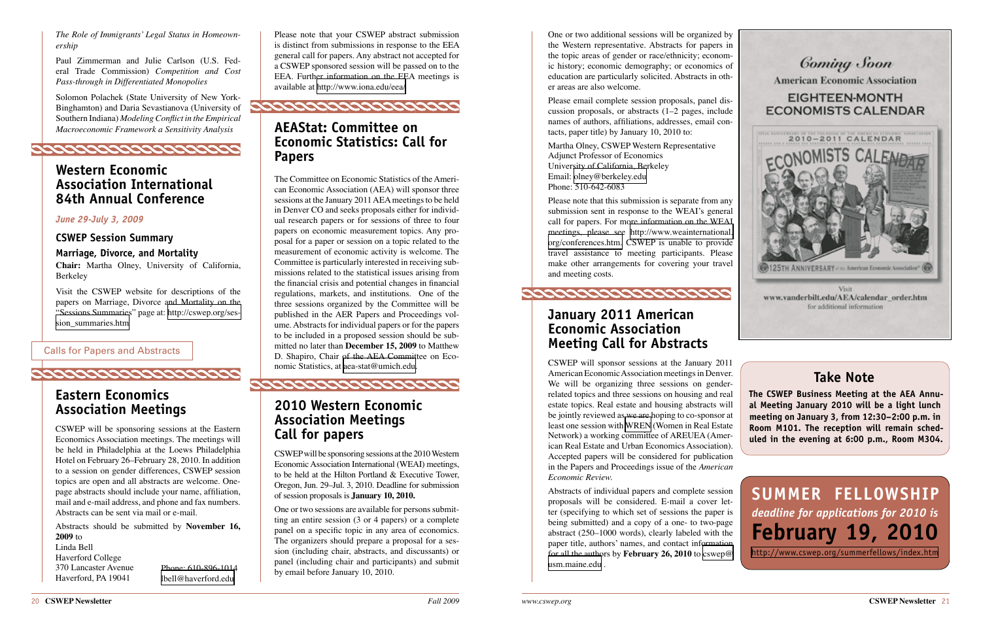Please note that your CSWEP abstract submission is distinct from submissions in response to the EEA general call for papers. Any abstract not accepted for a CSWEP sponsored session will be passed on to the EEA. Further information on the EEA meetings is available at<http://www.iona.edu/eea/>



# **AEAStat: Committee on Economic Statistics: Call for Papers**

The Committee on Economic Statistics of the American Economic Association (AEA) will sponsor three sessions at the January 2011 AEA meetings to be held in Denver CO and seeks proposals either for individual research papers or for sessions of three to four papers on economic measurement topics. Any proposal for a paper or session on a topic related to the measurement of economic activity is welcome. The Committee is particularly interested in receiving submissions related to the statistical issues arising from the financial crisis and potential changes in financial regulations, markets, and institutions. One of the three sessions organized by the Committee will be published in the AER Papers and Proceedings volume. Abstracts for individual papers or for the papers to be included in a proposed session should be submitted no later than **December 15, 2009** to Matthew D. Shapiro, Chair of the AEA Committee on Economic Statistics, at [aea-stat@umich.edu](mailto:aea-stat@umich.edu).

# **2010 Western Economic Association Meetings Call for papers**

CSWEP will be sponsoring sessions at the 2010 Western Economic Association International (WEAI) meetings, to be held at the Hilton Portland & Executive Tower, Oregon, Jun. 29–Jul. 3, 2010. Deadline for submission of session proposals is **January 10, 2010.**

One or two sessions are available for persons submitting an entire session (3 or 4 papers) or a complete panel on a specific topic in any area of economics. The organizers should prepare a proposal for a session (including chair, abstracts, and discussants) or Phone: 610-896-1014 and panel (including chair and participants) and submit [usm.maine.edu](mailto:cswep@usm.maine.edu) . by email before January 10, 2010.

# **Take Note**

**The CSWEP Business Meeting at the AEA Annual Meeting January 2010 will be a light lunch meeting on January 3, from 12:30–2:00 p.m. in Room M101. The reception will remain scheduled in the evening at 6:00 p.m., Room M304.**

**Summer Fellowship** *deadline for applications for 2010 is*  **February 19, 2010** <http://www.cswep.org/summerfellows/index.htm>

<span id="page-10-0"></span>*The Role of Immigrants' Legal Status in Homeownership* 

Paul Zimmerman and Julie Carlson (U.S. Federal Trade Commission) *Competition and Cost Pass-through in Differentiated Monopolies*

Solomon Polachek (State University of New York-Binghamton) and Daria Sevastianova (University of Southern Indiana) *Modeling Conflict in the Empirical Macroeconomic Framework a Sensitivity Analysis*



## **Western Economic Association International 84th Annual Conference**

#### *June 29-July 3, 2009*

**CSWEP Session Summary**

**Marriage, Divorce, and Mortality**

**Chair:** Martha Olney, University of California, Berkeley

Visit the CSWEP website for descriptions of the papers on Marriage, Divorce and Mortality on the "Sessions Summaries" page at: [http://cswep.org/ses](http://cswep.org/session_summaries.htm)[sion\\_summaries.htm](http://cswep.org/session_summaries.htm)

# **Eastern Economics Association Meetings**

**COOCOOCOOCOOCOOCOOCOO** 

CSWEP will be sponsoring sessions at the Eastern Economics Association meetings. The meetings will be held in Philadelphia at the Loews Philadelphia Hotel on February 26–February 28, 2010. In addition to a session on gender differences, CSWEP session topics are open and all abstracts are welcome. Onepage abstracts should include your name, affiliation, mail and e-mail address, and phone and fax numbers. Abstracts can be sent via mail or e-mail.

One or two additional sessions will be organized by the Western representative. Abstracts for papers in the topic areas of gender or race/ethnicity; economic history; economic demography; or economics of education are particularly solicited. Abstracts in other areas are also welcome.

Please email complete session proposals, panel discussion proposals, or abstracts (1–2 pages, include names of authors, affiliations, addresses, email contacts, paper title) by January 10, 2010 to:

Martha Olney, CSWEP Western Representative Adjunct Professor of Economics University of California, Berkeley Email: [olney@berkeley.edu](mailto:olney@berkeley.edu) Phone: 510-642-6083

Please note that this submission is separate from any submission sent in response to the WEAI's general call for papers. For more information on the WEAI meetings, please see [http://www.weainternational.](http://www.weainternational.org/conferences.htm) [org/conferences.htm.](http://www.weainternational.org/conferences.htm) CSWEP is unable to provide travel assistance to meeting participants. Please make other arrangements for covering your travel and meeting costs.

Abstracts should be submitted by **November 16, 2009** to Linda Bell Haverford College 370 Lancaster Avenue Haverford, PA 19041 [lbell@haverford.edu](mailto:lbell@haverford.edu)

# **January 2011 American Economic Association Meeting Call for Abstracts**

CSWEP will sponsor sessions at the January 2011 American Economic Association meetings in Denver. We will be organizing three sessions on genderrelated topics and three sessions on housing and real estate topics. Real estate and housing abstracts will be jointly reviewed as we are hoping to co-sponsor at least one session with [WREN](http://www.vanderbilt.edu/AEA/calendar_order.htm) (Women in Real Estate Network) a working committee of AREUEA (American Real Estate and Urban Economics Association). Accepted papers will be considered for publication in the Papers and Proceedings issue of the *American Economic Review.*

Abstracts of individual papers and complete session proposals will be considered. E-mail a cover letter (specifying to which set of sessions the paper is being submitted) and a copy of a one- to two-page abstract (250–1000 words), clearly labeled with the paper title, authors' names, and contact information for all the authors by **February 26, 2010** to [cswep@](mailto:cswep@usm.maine.edu)





for additional information

Calls for Papers and Abstracts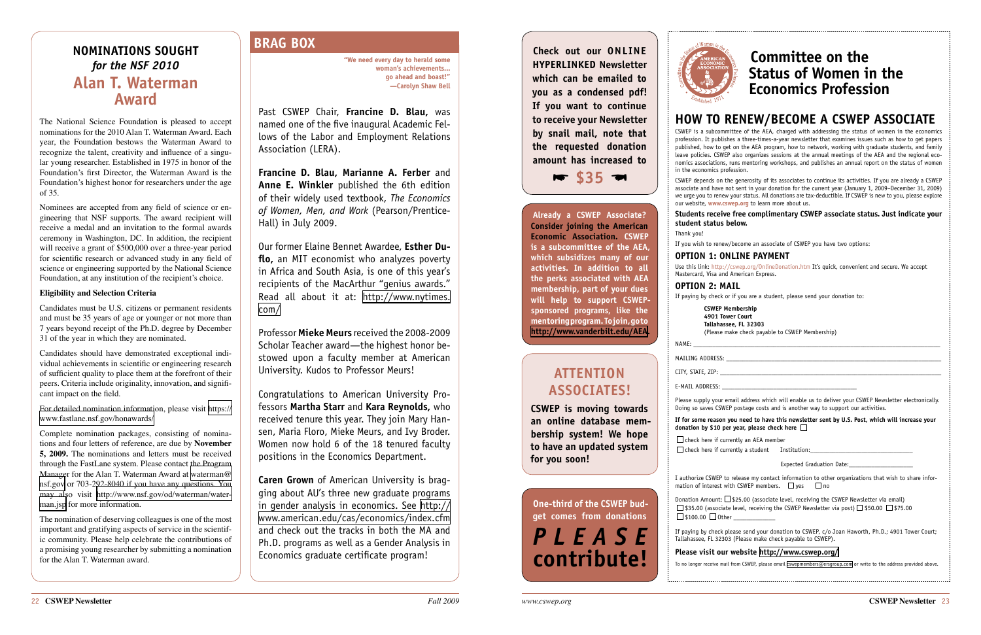**"We need every day to herald some woman's achievements... go ahead and boast!" —Carolyn Shaw Bell**

Past CSWEP Chair, **Francine D. Blau,** was named one of the five inaugural Academic Fellows of the Labor and Employment Relations Association (LERA).

**Francine D. Blau, Marianne A. Ferber** and **Anne E. Winkler** published the 6th edition of their widely used textbook, *The Economics of Women, Men, and Work* (Pearson/Prentice-Hall) in July 2009.

Our former Elaine Bennet Awardee, **Esther Duflo,** an MIT economist who analyzes poverty in Africa and South Asia, is one of this year's recipients of the MacArthur "genius awards." Read all about it at: [http://www.nytimes.](http://www.nytimes.com/2009/09/22/arts/22macarthur.html?scp=3&sq=felicia%20lee&st=cse) [com/](http://www.nytimes.com/2009/09/22/arts/22macarthur.html?scp=3&sq=felicia%20lee&st=cse)

Professor **Mieke Meurs** received the 2008-2009 Scholar Teacher award—the highest honor bestowed upon a faculty member at American University. Kudos to Professor Meurs!

Congratulations to American University Professors **Martha Starr** and **Kara Reynolds,** who received tenure this year. They join Mary Hansen, Maria Floro, Mieke Meurs, and Ivy Broder. Women now hold 6 of the 18 tenured faculty positions in the Economics Department.

**Caren Grown** of American University is bragging about AU's three new graduate programs in gender analysis in economics. See [http://](http://www.american.edu/cas/economics/index.cfm) [www.american.edu/cas/economics/index.cfm](http://www.american.edu/cas/economics/index.cfm)  and check out the tracks in both the MA and Ph.D. programs as well as a Gender Analysis in Economics graduate certificate program!

# **BRAG BOX**

#### NAME: \_\_\_\_\_\_\_\_\_\_\_\_\_\_\_\_\_\_\_\_\_\_\_\_\_\_\_\_\_\_\_\_\_\_\_\_\_\_\_\_\_\_\_\_\_\_\_\_\_\_\_\_\_\_\_\_\_\_\_\_\_\_\_\_\_\_\_\_\_\_\_\_\_\_\_\_\_ MAILING ADDRESS: \_

CITY, STATE, ZIP:

E-MAIL ADDRESS:

# **HOW TO RENEW/BECOME A CSWEP ASSOCIATE**

CSWEP is a subcommittee of the AEA, charged with addressing the status of women in the economics profession. It publishes a three-times-a-year newsletter that examines issues such as how to get papers published, how to get on the AEA program, how to network, working with graduate students, and family leave policies. CSWEP also organizes sessions at the annual meetings of the AEA and the regional economics associations, runs mentoring workshops, and publishes an annual report on the status of women in the economics profession.

CSWEP depends on the generosity of its associates to continue its activities. If you are already a CSWEP associate and have not sent in your donation for the current year (January 1, 2009–December 31, 2009) we urge you to renew your status. All donations are tax-deductible. If CSWEP is new to you, please explore our website, **[www.cswep.org](http://www.cswep.org)** to learn more about us.

# **Students receive free complimentary CSWEP associate status. Just indicate your**

**student status below.** Thank you!

If you wish to renew/become an associate of CSWEP you have two options:

#### **OPTION 1: ONLINE PAYMENT**

Use this link: <http://cswep.org/OnlineDonation.htm> It's quick, convenient and secure. We accept Mastercard, Visa and American Express.

**OPTION 2: MAIL** 

If paying by check or if you are a student, please send your donation to:

#### **CSWEP Membership**

**4901 Tower Court**

**Tallahassee, FL 32303** (Please make check payable to CSWEP Membership)

Please supply your email address which will enable us to deliver your CSWEP Newsletter electronically. Doing so saves CSWEP postage costs and is another way to support our activities.

I authorize CSWEP mation of interest

Donation Amount:  $\square$  \$25.00 (associate level, receiving the CSWEP Newsletter via email)  $\Box$  \$35.00 (associate level, receiving the CSWEP Newsletter via post)  $\Box$  \$50.00  $\Box$  \$75.00  $\Box$  \$100.00  $\Box$  Other

#### **If for some reason you need to have this newsletter sent by U.S. Post, which will increase your donation by \$10 per year, please check here**

 $\Box$  check here if currently an AEA member

 $\square$  check here if currently a student Institution:

Expected Graduation Date:

| to release my contact information to other organizations that wish to share infor- |  |  |  |  |
|------------------------------------------------------------------------------------|--|--|--|--|
| with CSWEP members. $\Box$ yes $\Box$ no                                           |  |  |  |  |

If paying by check please send your donation to CSWEP, c/o Joan Haworth, Ph.D.; 4901 Tower Court; Tallahassee, FL 32303 (Please make check payable to CSWEP).

#### **Please visit our website <http://www.cswep.org/>**

To no longer receive mail from CSWEP, please email [cswepmembers@ersgroup.com](mailto:cswepmembers@ersgroup.com) or write to the address provided above.



**Already a CSWEP Associate? Consider joining the American Economic Association. CSWEP is a subcommittee of the AEA, which subsidizes many of our activities. In addition to all the perks associated with AEA membership, part of your dues will help to support CSWEPsponsored programs, like the mentoring program. To join, go to [http://www.vanderbilt.edu/AEA.](http://www.vanderbilt.edu/AEA)**

**Check out our online hyperlinked Newsletter which can be emailed to you as a condensed pdf! If you want to continue to receive your Newsletter by snail mail, note that the requested donation amount has increased to** 

# **Committee on the Status of Women in the Economics Profession**

# <span id="page-11-0"></span>**Nominations Sought**  *for the NSF 2010*  **Alan T. Waterman Award**

The National Science Foundation is pleased to accept nominations for the 2010 Alan T. Waterman Award. Each year, the Foundation bestows the Waterman Award to recognize the talent, creativity and influence of a singular young researcher. Established in 1975 in honor of the Foundation's first Director, the Waterman Award is the Foundation's highest honor for researchers under the age of 35.

Nominees are accepted from any field of science or engineering that NSF supports. The award recipient will receive a medal and an invitation to the formal awards ceremony in Washington, DC. In addition, the recipient will receive a grant of \$500,000 over a three-year period for scientific research or advanced study in any field of science or engineering supported by the National Science Foundation, at any institution of the recipient's choice.

#### **Eligibility and Selection Criteria**

Candidates must be U.S. citizens or permanent residents and must be 35 years of age or younger or not more than 7 years beyond receipt of the Ph.D. degree by December 31 of the year in which they are nominated.



Candidates should have demonstrated exceptional individual achievements in scientific or engineering research of sufficient quality to place them at the forefront of their peers. Criteria include originality, innovation, and significant impact on the field.

For detailed nomination information, please visit [https://](https://www.fastlane.nsf.gov/honawards/) [www.fastlane.nsf.gov/honawards/](https://www.fastlane.nsf.gov/honawards/) 

Complete nomination packages, consisting of nominations and four letters of reference, are due by **November 5, 2009.** The nominations and letters must be received through the FastLane system. Please contact the Program Manager for the Alan T. Waterman Award at [waterman@](mailto:waterman@nsf.gov) [nsf.gov](mailto:waterman@nsf.gov) or 703-292-8040 if you have any questions. You may also visit [http://www.nsf.gov/od/waterman/water](http://www.nsf.gov/od/waterman/waterman.jsp)[man.jsp](http://www.nsf.gov/od/waterman/waterman.jsp) for more information.

The nomination of deserving colleagues is one of the most important and gratifying aspects of service in the scientific community. Please help celebrate the contributions of a promising young researcher by submitting a nomination for the Alan T. Waterman award.

# **Attention Associates!**

**CSWEP is moving towards an online database membership system! We hope to have an updated system for you soon!**

**One-third of the CSWEP budget comes from donations**  *P lease* **contribute!**